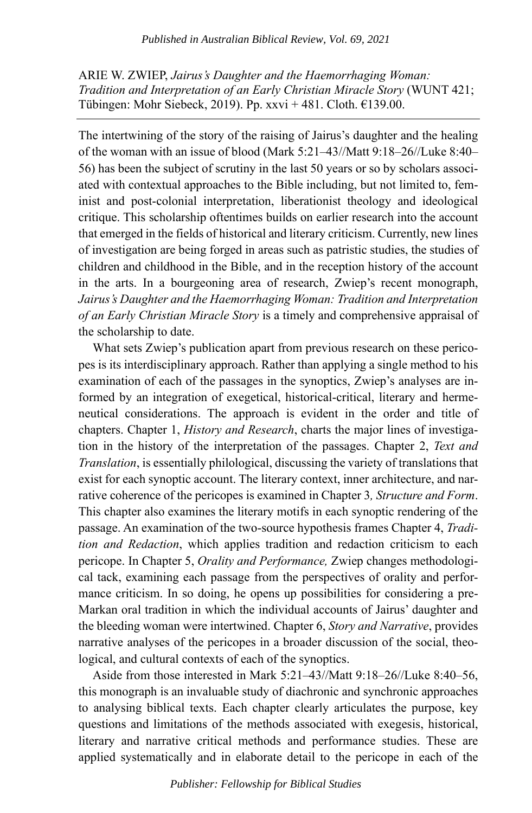ARIE W. ZWIEP, *Jairus's Daughter and the Haemorrhaging Woman: Tradition and Interpretation of an Early Christian Miracle Story* (WUNT 421; Tübingen: Mohr Siebeck, 2019). Pp. xxvi + 481. Cloth.  $£139.00$ .

The intertwining of the story of the raising of Jairus's daughter and the healing of the woman with an issue of blood (Mark 5:21–43//Matt 9:18–26//Luke 8:40– 56) has been the subject of scrutiny in the last 50 years or so by scholars associated with contextual approaches to the Bible including, but not limited to, feminist and post-colonial interpretation, liberationist theology and ideological critique. This scholarship oftentimes builds on earlier research into the account that emerged in the fields of historical and literary criticism. Currently, new lines of investigation are being forged in areas such as patristic studies, the studies of children and childhood in the Bible, and in the reception history of the account in the arts. In a bourgeoning area of research, Zwiep's recent monograph, *Jairus's Daughter and the Haemorrhaging Woman: Tradition and Interpretation of an Early Christian Miracle Story* is a timely and comprehensive appraisal of the scholarship to date.

What sets Zwiep's publication apart from previous research on these pericopes is its interdisciplinary approach. Rather than applying a single method to his examination of each of the passages in the synoptics, Zwiep's analyses are informed by an integration of exegetical, historical-critical, literary and hermeneutical considerations. The approach is evident in the order and title of chapters. Chapter 1, *History and Research*, charts the major lines of investigation in the history of the interpretation of the passages. Chapter 2, *Text and Translation*, is essentially philological, discussing the variety of translations that exist for each synoptic account. The literary context, inner architecture, and narrative coherence of the pericopes is examined in Chapter 3*, Structure and Form*. This chapter also examines the literary motifs in each synoptic rendering of the passage. An examination of the two-source hypothesis frames Chapter 4, *Tradition and Redaction*, which applies tradition and redaction criticism to each pericope. In Chapter 5, *Orality and Performance,* Zwiep changes methodological tack, examining each passage from the perspectives of orality and performance criticism. In so doing, he opens up possibilities for considering a pre-Markan oral tradition in which the individual accounts of Jairus' daughter and the bleeding woman were intertwined. Chapter 6, *Story and Narrative*, provides narrative analyses of the pericopes in a broader discussion of the social, theological, and cultural contexts of each of the synoptics.

Aside from those interested in Mark 5:21–43//Matt 9:18–26//Luke 8:40–56, this monograph is an invaluable study of diachronic and synchronic approaches to analysing biblical texts. Each chapter clearly articulates the purpose, key questions and limitations of the methods associated with exegesis, historical, literary and narrative critical methods and performance studies. These are applied systematically and in elaborate detail to the pericope in each of the